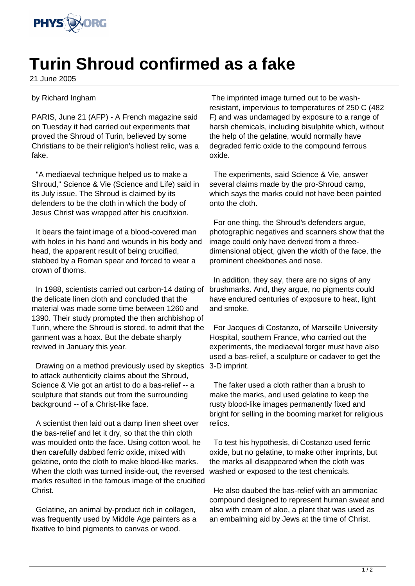

## **Turin Shroud confirmed as a fake**

21 June 2005

## by Richard Ingham

PARIS, June 21 (AFP) - A French magazine said on Tuesday it had carried out experiments that proved the Shroud of Turin, believed by some Christians to be their religion's holiest relic, was a fake.

 "A mediaeval technique helped us to make a Shroud," Science & Vie (Science and Life) said in its July issue. The Shroud is claimed by its defenders to be the cloth in which the body of Jesus Christ was wrapped after his crucifixion.

 It bears the faint image of a blood-covered man with holes in his hand and wounds in his body and head, the apparent result of being crucified, stabbed by a Roman spear and forced to wear a crown of thorns.

 In 1988, scientists carried out carbon-14 dating of the delicate linen cloth and concluded that the material was made some time between 1260 and 1390. Their study prompted the then archbishop of Turin, where the Shroud is stored, to admit that the garment was a hoax. But the debate sharply revived in January this year.

 Drawing on a method previously used by skeptics to attack authenticity claims about the Shroud, Science & Vie got an artist to do a bas-relief -- a sculpture that stands out from the surrounding background -- of a Christ-like face.

 A scientist then laid out a damp linen sheet over the bas-relief and let it dry, so that the thin cloth was moulded onto the face. Using cotton wool, he then carefully dabbed ferric oxide, mixed with gelatine, onto the cloth to make blood-like marks. When the cloth was turned inside-out, the reversed marks resulted in the famous image of the crucified Christ.

 Gelatine, an animal by-product rich in collagen, was frequently used by Middle Age painters as a fixative to bind pigments to canvas or wood.

 The imprinted image turned out to be washresistant, impervious to temperatures of 250 C (482 F) and was undamaged by exposure to a range of harsh chemicals, including bisulphite which, without the help of the gelatine, would normally have degraded ferric oxide to the compound ferrous oxide.

 The experiments, said Science & Vie, answer several claims made by the pro-Shroud camp, which says the marks could not have been painted onto the cloth.

 For one thing, the Shroud's defenders argue, photographic negatives and scanners show that the image could only have derived from a threedimensional object, given the width of the face, the prominent cheekbones and nose.

 In addition, they say, there are no signs of any brushmarks. And, they argue, no pigments could have endured centuries of exposure to heat, light and smoke.

 For Jacques di Costanzo, of Marseille University Hospital, southern France, who carried out the experiments, the mediaeval forger must have also used a bas-relief, a sculpture or cadaver to get the 3-D imprint.

 The faker used a cloth rather than a brush to make the marks, and used gelatine to keep the rusty blood-like images permanently fixed and bright for selling in the booming market for religious relics.

 To test his hypothesis, di Costanzo used ferric oxide, but no gelatine, to make other imprints, but the marks all disappeared when the cloth was washed or exposed to the test chemicals.

 He also daubed the bas-relief with an ammoniac compound designed to represent human sweat and also with cream of aloe, a plant that was used as an embalming aid by Jews at the time of Christ.